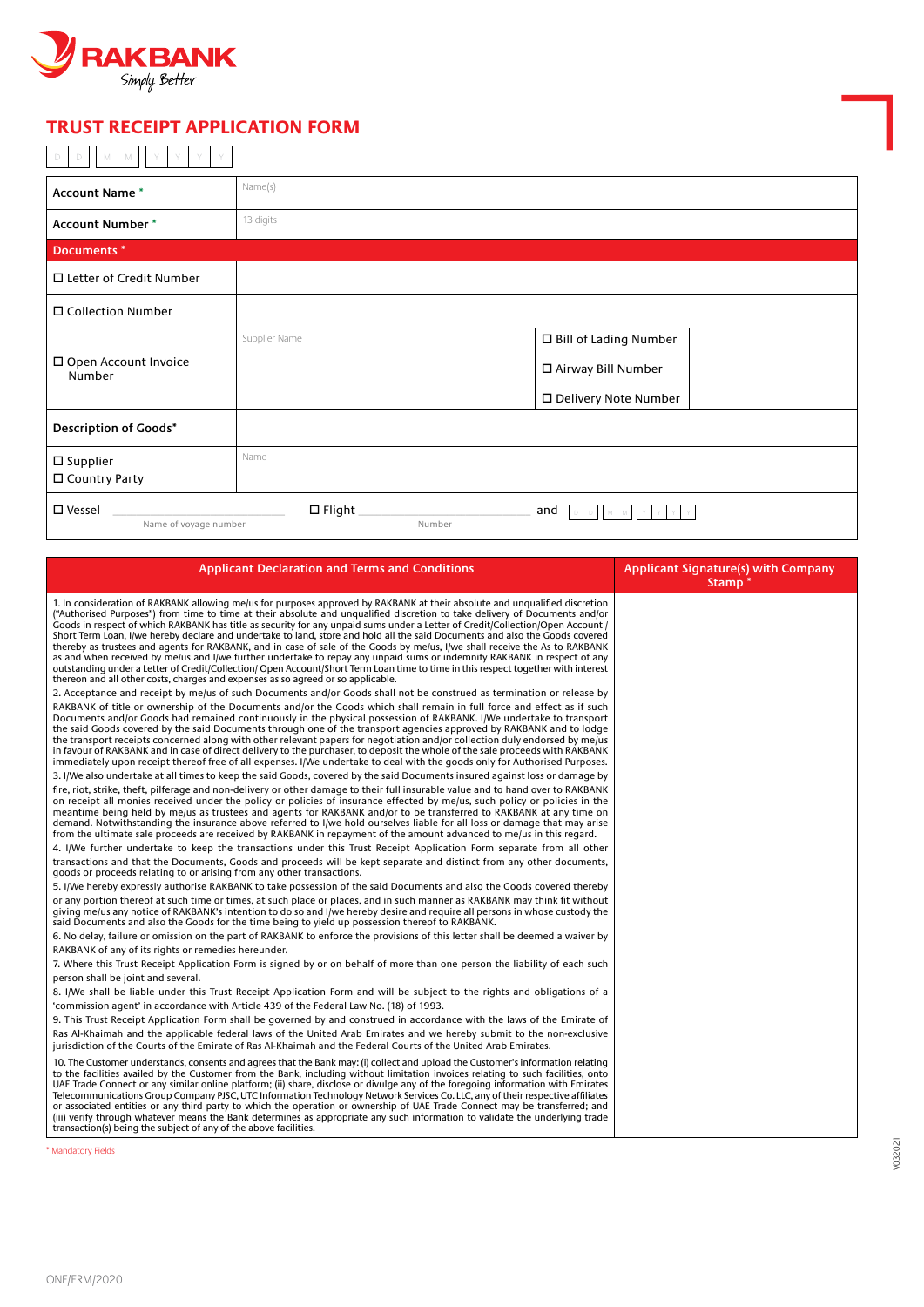

## **FRUST RECEIPT APPLICATION FORM**

| <b>Account Name*</b>                      | Name(s)                    |                         |
|-------------------------------------------|----------------------------|-------------------------|
| <b>Account Number *</b>                   | 13 digits                  |                         |
| Documents *                               |                            |                         |
| □ Letter of Credit Number                 |                            |                         |
| □ Collection Number                       |                            |                         |
|                                           | Supplier Name              | □ Bill of Lading Number |
| □ Open Account Invoice<br>Number          |                            | □ Airway Bill Number    |
|                                           |                            | □ Delivery Note Number  |
| <b>Description of Goods*</b>              |                            |                         |
| $\square$ Supplier                        | Name                       |                         |
| □ Country Party                           |                            |                         |
| $\square$ Vessel<br>Name of voyage number | $\square$ Flight<br>Number | and                     |

| <b>Applicant Declaration and Terms and Conditions</b>                                                                                                                                                                                                                                                                                                                                                                                                                                                                                                                                                                                                                                                                                                                                                                                                                                                                                                                                                            | <b>Applicant Signature(s) with Company</b><br>Stamp <sup>*</sup> |
|------------------------------------------------------------------------------------------------------------------------------------------------------------------------------------------------------------------------------------------------------------------------------------------------------------------------------------------------------------------------------------------------------------------------------------------------------------------------------------------------------------------------------------------------------------------------------------------------------------------------------------------------------------------------------------------------------------------------------------------------------------------------------------------------------------------------------------------------------------------------------------------------------------------------------------------------------------------------------------------------------------------|------------------------------------------------------------------|
| 1. In consideration of RAKBANK allowing me/us for purposes approved by RAKBANK at their absolute and unqualified discretion<br>("Authorised Purposes") from time to time at their absolute and unqualified discretion to take delivery of Documents and/or<br>Goods in respect of which RAKBANK has title as security for any unpaid sums under a Letter of Credit/Collection/Open Account /<br>Short Term Loan, I/we hereby declare and undertake to land, store and hold all the said Documents and also the Goods covered<br>thereby as trustees and agents for RAKBANK, and in case of sale of the Goods by me/us, I/we shall receive the As to RAKBANK<br>as and when received by me/us and I/we further undertake to repay any unpaid sums or indemnify RAKBANK in respect of any<br>outstanding under a Letter of Credit/Collection/ Open Account/Short Term Loan time to time in this respect together with interest<br>thereon and all other costs, charges and expenses as so agreed or so applicable. |                                                                  |
| 2. Acceptance and receipt by me/us of such Documents and/or Goods shall not be construed as termination or release by                                                                                                                                                                                                                                                                                                                                                                                                                                                                                                                                                                                                                                                                                                                                                                                                                                                                                            |                                                                  |
| RAKBANK of title or ownership of the Documents and/or the Goods which shall remain in full force and effect as if such<br>Documents and/or Goods had remained continuously in the physical possession of RAKBANK. I/We undertake to transport<br>the said Goods covered by the said Documents through one of the transport agencies approved by RAKBANK and to lodge<br>the transport receipts concerned along with other relevant papers for negotiation and/or collection duly endorsed by me/us<br>in favour of RAKBANK and in case of direct delivery to the purchaser, to deposit the whole of the sale proceeds with RAKBANK<br>immediately upon receipt thereof free of all expenses. I/We undertake to deal with the goods only for Authorised Purposes.                                                                                                                                                                                                                                                 |                                                                  |
| 3. I/We also undertake at all times to keep the said Goods, covered by the said Documents insured against loss or damage by                                                                                                                                                                                                                                                                                                                                                                                                                                                                                                                                                                                                                                                                                                                                                                                                                                                                                      |                                                                  |
| fire, riot, strike, theft, pilferage and non-delivery or other damage to their full insurable value and to hand over to RAKBANK<br>on receipt all monies received under the policy or policies of insurance effected by me/us, such policy or policies in the<br>meantime being held by me/us as trustees and agents for RAKBANK and/or to be transferred to RAKBANK at any time on<br>demand. Notwithstanding the insurance above referred to I/we hold ourselves liable for all loss or damage that may arise<br>from the ultimate sale proceeds are received by RAKBANK in repayment of the amount advanced to me/us in this regard.                                                                                                                                                                                                                                                                                                                                                                          |                                                                  |
| 4. I/We further undertake to keep the transactions under this Trust Receipt Application Form separate from all other                                                                                                                                                                                                                                                                                                                                                                                                                                                                                                                                                                                                                                                                                                                                                                                                                                                                                             |                                                                  |
| transactions and that the Documents, Goods and proceeds will be kept separate and distinct from any other documents,<br>goods or proceeds relating to or arising from any other transactions.                                                                                                                                                                                                                                                                                                                                                                                                                                                                                                                                                                                                                                                                                                                                                                                                                    |                                                                  |
| 5. I/We hereby expressly authorise RAKBANK to take possession of the said Documents and also the Goods covered thereby                                                                                                                                                                                                                                                                                                                                                                                                                                                                                                                                                                                                                                                                                                                                                                                                                                                                                           |                                                                  |
| or any portion thereof at such time or times, at such place or places, and in such manner as RAKBANK may think fit without<br>giving me/us any notice of RAKBANK's intention to do so and I/we hereby desire and require all persons in whose custody the<br>said Documents and also the Goods for the time being to yield up possession thereof to RAKBANK.                                                                                                                                                                                                                                                                                                                                                                                                                                                                                                                                                                                                                                                     |                                                                  |
| 6. No delay, failure or omission on the part of RAKBANK to enforce the provisions of this letter shall be deemed a waiver by                                                                                                                                                                                                                                                                                                                                                                                                                                                                                                                                                                                                                                                                                                                                                                                                                                                                                     |                                                                  |
| RAKBANK of any of its rights or remedies hereunder.                                                                                                                                                                                                                                                                                                                                                                                                                                                                                                                                                                                                                                                                                                                                                                                                                                                                                                                                                              |                                                                  |
| 7. Where this Trust Receipt Application Form is signed by or on behalf of more than one person the liability of each such<br>person shall be joint and several.                                                                                                                                                                                                                                                                                                                                                                                                                                                                                                                                                                                                                                                                                                                                                                                                                                                  |                                                                  |
| 8. I/We shall be liable under this Trust Receipt Application Form and will be subject to the rights and obligations of a                                                                                                                                                                                                                                                                                                                                                                                                                                                                                                                                                                                                                                                                                                                                                                                                                                                                                         |                                                                  |
| 'commission agent' in accordance with Article 439 of the Federal Law No. (18) of 1993.                                                                                                                                                                                                                                                                                                                                                                                                                                                                                                                                                                                                                                                                                                                                                                                                                                                                                                                           |                                                                  |
| 9. This Trust Receipt Application Form shall be governed by and construed in accordance with the laws of the Emirate of                                                                                                                                                                                                                                                                                                                                                                                                                                                                                                                                                                                                                                                                                                                                                                                                                                                                                          |                                                                  |
| Ras Al-Khaimah and the applicable federal laws of the United Arab Emirates and we hereby submit to the non-exclusive<br>jurisdiction of the Courts of the Emirate of Ras Al-Khaimah and the Federal Courts of the United Arab Emirates.                                                                                                                                                                                                                                                                                                                                                                                                                                                                                                                                                                                                                                                                                                                                                                          |                                                                  |
| 10. The Customer understands, consents and agrees that the Bank may: (i) collect and upload the Customer's information relating<br>to the facilities availed by the Customer from the Bank, including without limitation invoices relating to such facilities, onto<br>UAE Trade Connect or any similar online platform; (ii) share, disclose or divulge any of the foregoing information with Emirates<br>Telecommunications Group Company PJSC, UTC Information Technology Network Services Co. LLC, any of their respective affiliates<br>or associated entities or any third party to which the operation or ownership of UAE Trade Connect may be transferred; and<br>(iii) verify through whatever means the Bank determines as appropriate any such information to validate the underlying trade<br>transaction(s) being the subject of any of the above facilities.                                                                                                                                      |                                                                  |
| <b>Mandatory Fields</b>                                                                                                                                                                                                                                                                                                                                                                                                                                                                                                                                                                                                                                                                                                                                                                                                                                                                                                                                                                                          |                                                                  |

V032021